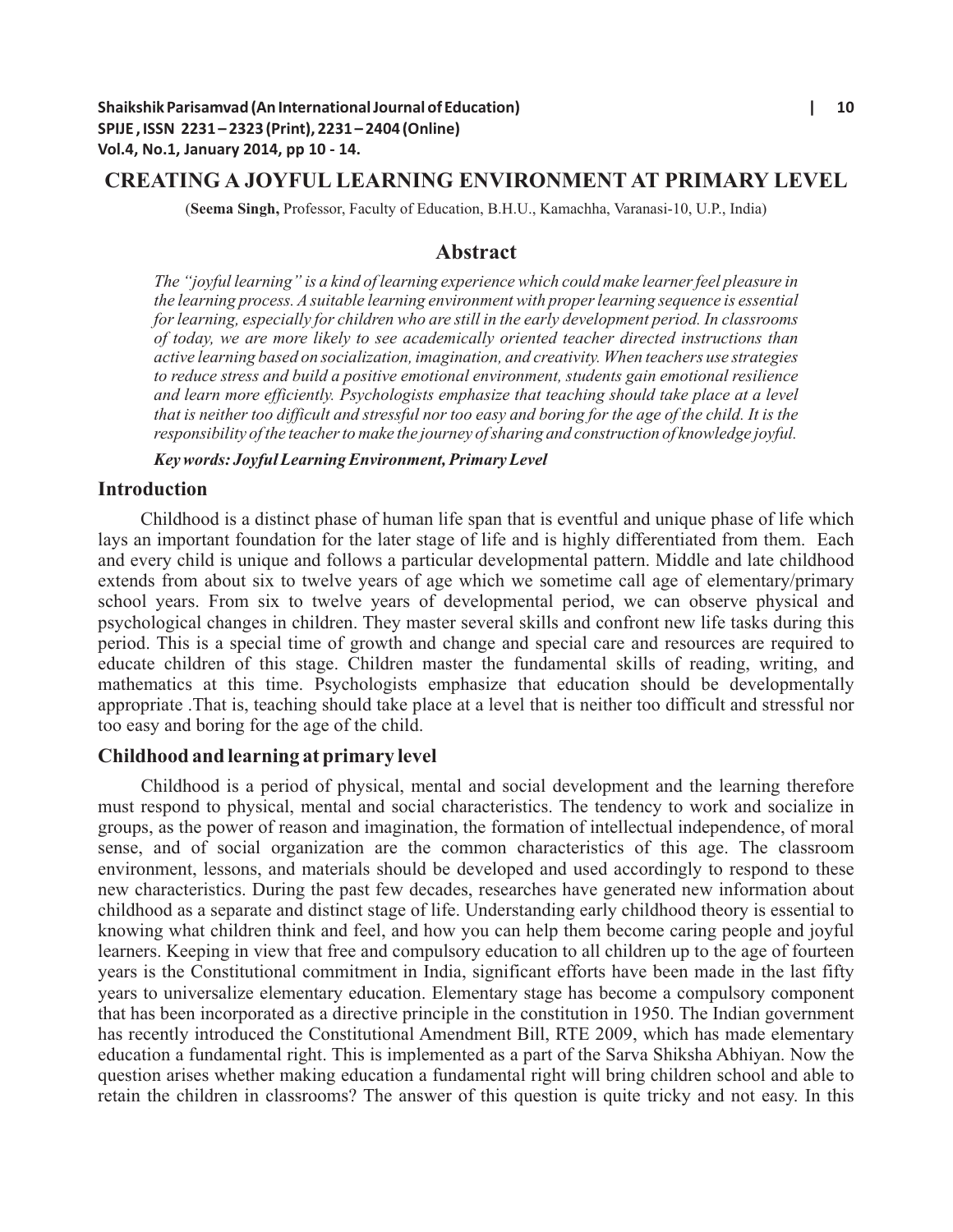# **CREATING A JOYFUL LEARNING ENVIRONMENT AT PRIMARY LEVEL**

(**Seema Singh,** Professor, Faculty of Education, B.H.U., Kamachha, Varanasi-10, U.P., India)

## **Abstract**

*The "joyful learning" is a kind of learning experience which could make learner feel pleasure in the learning process. Asuitable learning environment with proper learning sequence is essential for learning, especially for children who are still in the early development period. In classrooms of today, we are more likely to see academically oriented teacher directed instructions than active learning based on socialization, imagination, and creativity. When teachers use strategies to reduce stress and build a positive emotional environment, students gain emotional resilience and learn more efficiently. Psychologists emphasize that teaching should take place at a level that is neither too difficult and stressful nor too easy and boring for the age of the child. It is the responsibility of the teacher to make the journey of sharing and construction of knowledge joyful.*

*Key words: Joyful Learning Environment, Primary Level*

## **Introduction**

Childhood is a distinct phase of human life span that is eventful and unique phase of life which lays an important foundation for the later stage of life and is highly differentiated from them. Each and every child is unique and follows a particular developmental pattern. Middle and late childhood extends from about six to twelve years of age which we sometime call age of elementary/primary school years. From six to twelve years of developmental period, we can observe physical and psychological changes in children. They master several skills and confront new life tasks during this period. This is a special time of growth and change and special care and resources are required to educate children of this stage. Children master the fundamental skills of reading, writing, and mathematics at this time. Psychologists emphasize that education should be developmentally appropriate .That is, teaching should take place at a level that is neither too difficult and stressful nor too easy and boring for the age of the child.

## **Childhood and learning at primary level**

Childhood is a period of physical, mental and social development and the learning therefore must respond to physical, mental and social characteristics. The tendency to work and socialize in groups, as the power of reason and imagination, the formation of intellectual independence, of moral sense, and of social organization are the common characteristics of this age. The classroom environment, lessons, and materials should be developed and used accordingly to respond to these new characteristics. During the past few decades, researches have generated new information about childhood as a separate and distinct stage of life. Understanding early childhood theory is essential to knowing what children think and feel, and how you can help them become caring people and joyful learners. Keeping in view that free and compulsory education to all children up to the age of fourteen years is the Constitutional commitment in India, significant efforts have been made in the last fifty years to universalize elementary education. Elementary stage has become a compulsory component that has been incorporated as a directive principle in the constitution in 1950. The Indian government has recently introduced the Constitutional Amendment Bill, RTE 2009, which has made elementary education a fundamental right. This is implemented as a part of the Sarva Shiksha Abhiyan. Now the question arises whether making education a fundamental right will bring children school and able to retain the children in classrooms? The answer of this question is quite tricky and not easy. In this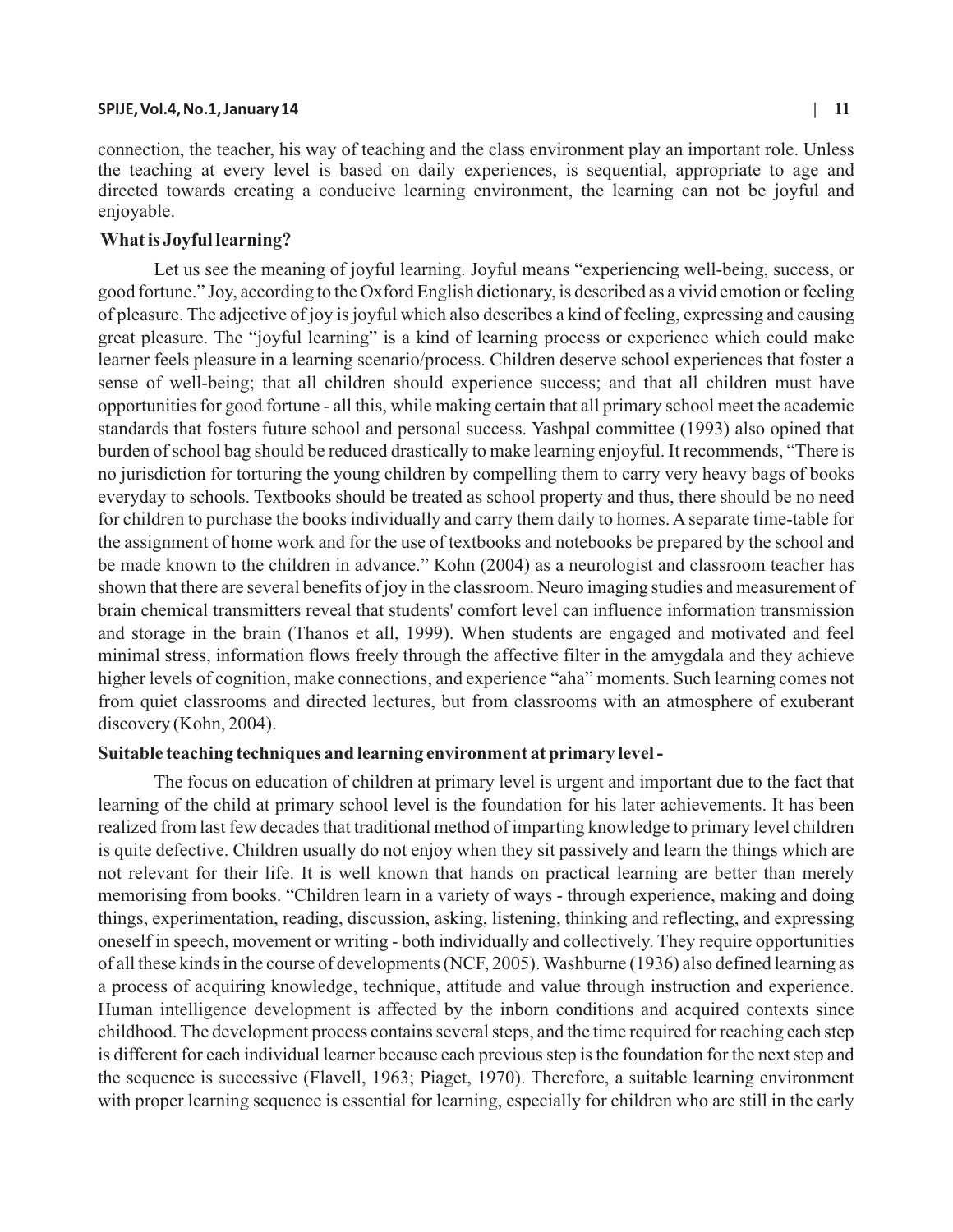### **SPIJE, Vol.4, No.1, January 14 | 11**

connection, the teacher, his way of teaching and the class environment play an important role. Unless the teaching at every level is based on daily experiences, is sequential, appropriate to age and directed towards creating a conducive learning environment, the learning can not be joyful and enjoyable.

## **What is Joyful learning?**

Let us see the meaning of joyful learning. Joyful means "experiencing well-being, success, or good fortune." Joy, according to the Oxford English dictionary, is described as a vivid emotion or feeling of pleasure. The adjective of joy is joyful which also describes a kind of feeling, expressing and causing great pleasure. The "joyful learning" is a kind of learning process or experience which could make learner feels pleasure in a learning scenario/process. Children deserve school experiences that foster a sense of well-being; that all children should experience success; and that all children must have opportunities for good fortune - all this, while making certain that all primary school meet the academic standards that fosters future school and personal success. Yashpal committee (1993) also opined that burden of school bag should be reduced drastically to make learning enjoyful. It recommends, "There is no jurisdiction for torturing the young children by compelling them to carry very heavy bags of books everyday to schools. Textbooks should be treated as school property and thus, there should be no need for children to purchase the books individually and carry them daily to homes. Aseparate time-table for the assignment of home work and for the use of textbooks and notebooks be prepared by the school and be made known to the children in advance." Kohn (2004) as a neurologist and classroom teacher has shown that there are several benefits of joy in the classroom. Neuro imaging studies and measurement of brain chemical transmitters reveal that students' comfort level can influence information transmission and storage in the brain (Thanos et all, 1999). When students are engaged and motivated and feel minimal stress, information flows freely through the affective filter in the amygdala and they achieve higher levels of cognition, make connections, and experience "aha" moments. Such learning comes not from quiet classrooms and directed lectures, but from classrooms with an atmosphere of exuberant discovery (Kohn, 2004).

### **Suitable teaching techniques and learning environment at primary level -**

The focus on education of children at primary level is urgent and important due to the fact that learning of the child at primary school level is the foundation for his later achievements. It has been realized from last few decades that traditional method of imparting knowledge to primary level children is quite defective. Children usually do not enjoy when they sit passively and learn the things which are not relevant for their life. It is well known that hands on practical learning are better than merely memorising from books. "Children learn in a variety of ways - through experience, making and doing things, experimentation, reading, discussion, asking, listening, thinking and reflecting, and expressing oneself in speech, movement or writing - both individually and collectively. They require opportunities of all these kinds in the course of developments (NCF, 2005). Washburne (1936) also defined learning as a process of acquiring knowledge, technique, attitude and value through instruction and experience. Human intelligence development is affected by the inborn conditions and acquired contexts since childhood. The development process contains several steps, and the time required for reaching each step is different for each individual learner because each previous step is the foundation for the next step and the sequence is successive (Flavell, 1963; Piaget, 1970). Therefore, a suitable learning environment with proper learning sequence is essential for learning, especially for children who are still in the early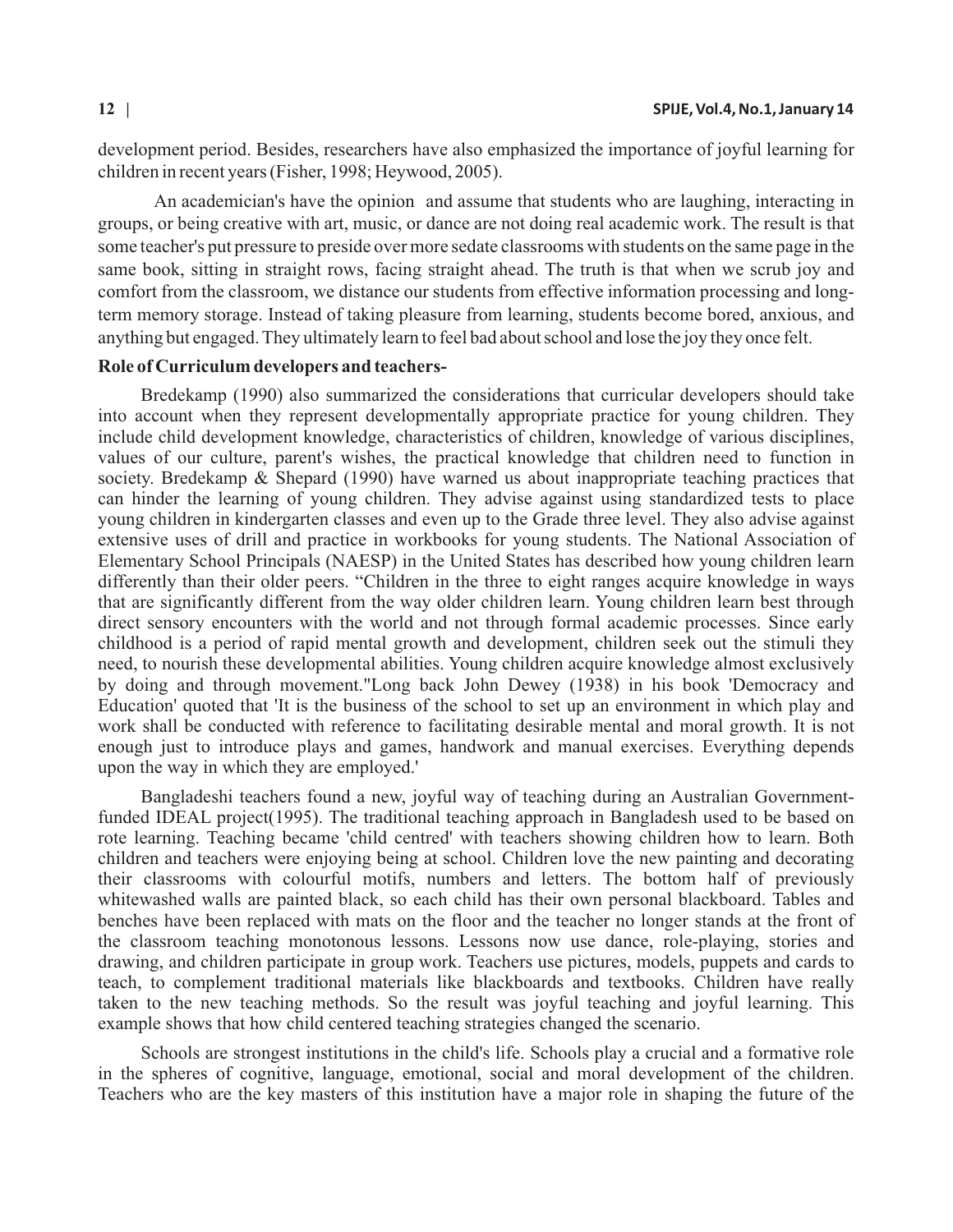development period. Besides, researchers have also emphasized the importance of joyful learning for children in recent years (Fisher, 1998; Heywood, 2005).

An academician's have the opinion and assume that students who are laughing, interacting in groups, or being creative with art, music, or dance are not doing real academic work. The result is that some teacher's put pressure to preside over more sedate classrooms with students on the same page in the same book, sitting in straight rows, facing straight ahead. The truth is that when we scrub joy and comfort from the classroom, we distance our students from effective information processing and longterm memory storage. Instead of taking pleasure from learning, students become bored, anxious, and anything but engaged. They ultimately learn to feel bad about school and lose the joy they once felt.

### **Role of Curriculum developers and teachers-**

Bredekamp (1990) also summarized the considerations that curricular developers should take into account when they represent developmentally appropriate practice for young children. They include child development knowledge, characteristics of children, knowledge of various disciplines, values of our culture, parent's wishes, the practical knowledge that children need to function in society. Bredekamp & Shepard (1990) have warned us about inappropriate teaching practices that can hinder the learning of young children. They advise against using standardized tests to place young children in kindergarten classes and even up to the Grade three level. They also advise against extensive uses of drill and practice in workbooks for young students. The National Association of Elementary School Principals (NAESP) in the United States has described how young children learn differently than their older peers. "Children in the three to eight ranges acquire knowledge in ways that are significantly different from the way older children learn. Young children learn best through direct sensory encounters with the world and not through formal academic processes. Since early childhood is a period of rapid mental growth and development, children seek out the stimuli they need, to nourish these developmental abilities. Young children acquire knowledge almost exclusively by doing and through movement."Long back John Dewey (1938) in his book 'Democracy and Education' quoted that 'It is the business of the school to set up an environment in which play and work shall be conducted with reference to facilitating desirable mental and moral growth. It is not enough just to introduce plays and games, handwork and manual exercises. Everything depends upon the way in which they are employed.'

Bangladeshi teachers found a new, joyful way of teaching during an Australian Governmentfunded IDEAL project(1995). The traditional teaching approach in Bangladesh used to be based on rote learning. Teaching became 'child centred' with teachers showing children how to learn. Both children and teachers were enjoying being at school. Children love the new painting and decorating their classrooms with colourful motifs, numbers and letters. The bottom half of previously whitewashed walls are painted black, so each child has their own personal blackboard. Tables and benches have been replaced with mats on the floor and the teacher no longer stands at the front of the classroom teaching monotonous lessons. Lessons now use dance, role-playing, stories and drawing, and children participate in group work. Teachers use pictures, models, puppets and cards to teach, to complement traditional materials like blackboards and textbooks. Children have really taken to the new teaching methods. So the result was joyful teaching and joyful learning. This example shows that how child centered teaching strategies changed the scenario.

Schools are strongest institutions in the child's life. Schools play a crucial and a formative role in the spheres of cognitive, language, emotional, social and moral development of the children. Teachers who are the key masters of this institution have a major role in shaping the future of the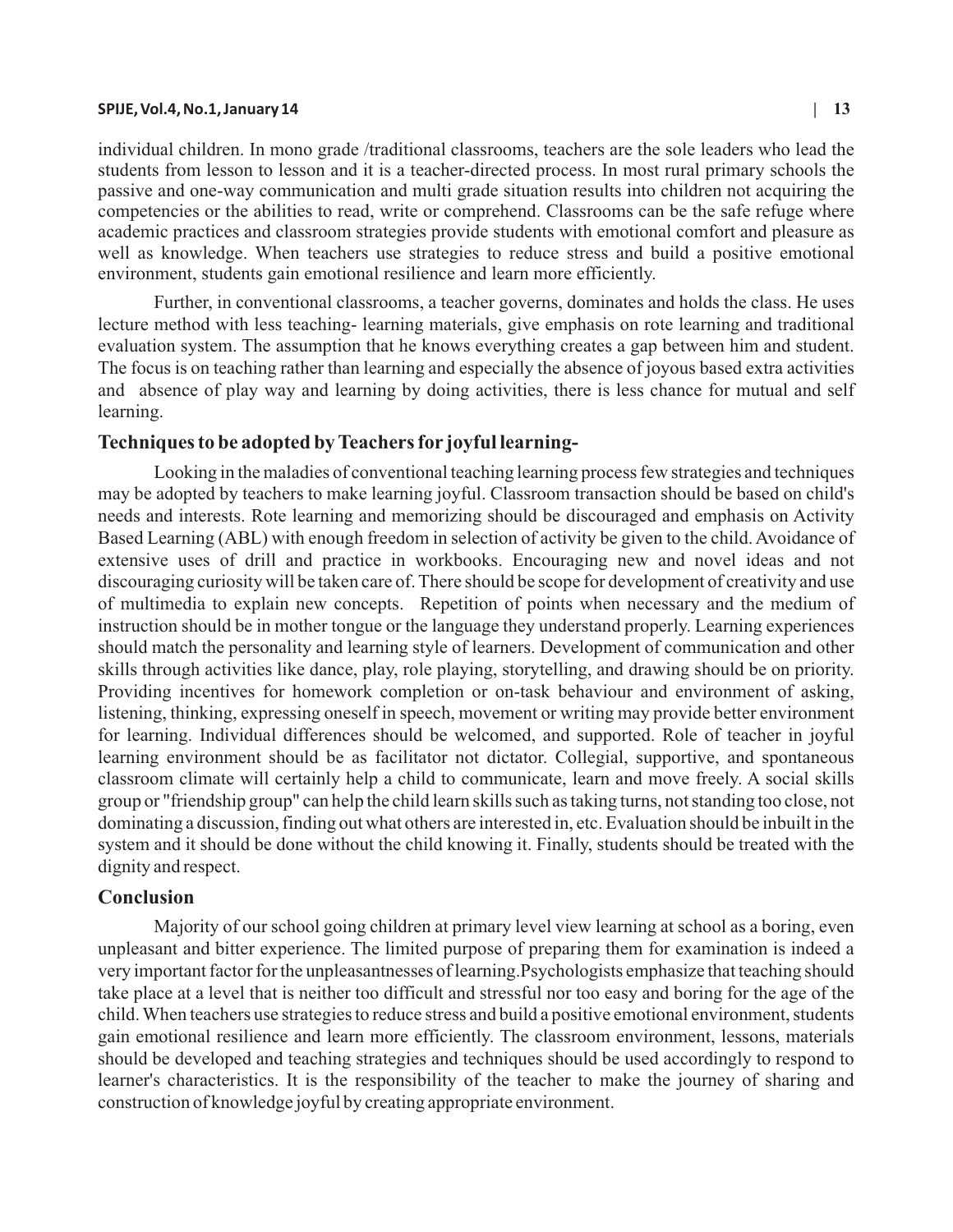#### **SPIJE, Vol.4, No.1, January 14 | 13**

individual children. In mono grade /traditional classrooms, teachers are the sole leaders who lead the students from lesson to lesson and it is a teacher-directed process. In most rural primary schools the passive and one-way communication and multi grade situation results into children not acquiring the competencies or the abilities to read, write or comprehend. Classrooms can be the safe refuge where academic practices and classroom strategies provide students with emotional comfort and pleasure as well as knowledge. When teachers use strategies to reduce stress and build a positive emotional environment, students gain emotional resilience and learn more efficiently.

Further, in conventional classrooms, a teacher governs, dominates and holds the class. He uses lecture method with less teaching- learning materials, give emphasis on rote learning and traditional evaluation system. The assumption that he knows everything creates a gap between him and student. The focus is on teaching rather than learning and especially the absence of joyous based extra activities and absence of play way and learning by doing activities, there is less chance for mutual and self learning.

# **Techniques to be adopted by Teachers for joyful learning-**

Looking in the maladies of conventional teaching learning process few strategies and techniques may be adopted by teachers to make learning joyful. Classroom transaction should be based on child's needs and interests. Rote learning and memorizing should be discouraged and emphasis on Activity Based Learning (ABL) with enough freedom in selection of activity be given to the child. Avoidance of extensive uses of drill and practice in workbooks. Encouraging new and novel ideas and not discouraging curiosity will be taken care of. There should be scope for development of creativity and use of multimedia to explain new concepts. Repetition of points when necessary and the medium of instruction should be in mother tongue or the language they understand properly. Learning experiences should match the personality and learning style of learners. Development of communication and other skills through activities like dance, play, role playing, storytelling, and drawing should be on priority. Providing incentives for homework completion or on-task behaviour and environment of asking, listening, thinking, expressing oneself in speech, movement or writing may provide better environment for learning. Individual differences should be welcomed, and supported. Role of teacher in joyful learning environment should be as facilitator not dictator. Collegial, supportive, and spontaneous classroom climate will certainly help a child to communicate, learn and move freely. A social skills group or "friendship group" can help the child learn skills such as taking turns, not standing too close, not dominating a discussion, finding out what others are interested in, etc. Evaluation should be inbuilt in the system and it should be done without the child knowing it. Finally, students should be treated with the dignity and respect.

# **Conclusion**

Majority of our school going children at primary level view learning at school as a boring, even unpleasant and bitter experience. The limited purpose of preparing them for examination is indeed a very important factor for the unpleasantnesses of learning.Psychologists emphasize that teaching should take place at a level that is neither too difficult and stressful nor too easy and boring for the age of the child. When teachers use strategies to reduce stress and build a positive emotional environment, students gain emotional resilience and learn more efficiently. The classroom environment, lessons, materials should be developed and teaching strategies and techniques should be used accordingly to respond to learner's characteristics. It is the responsibility of the teacher to make the journey of sharing and construction of knowledge joyful by creating appropriate environment.